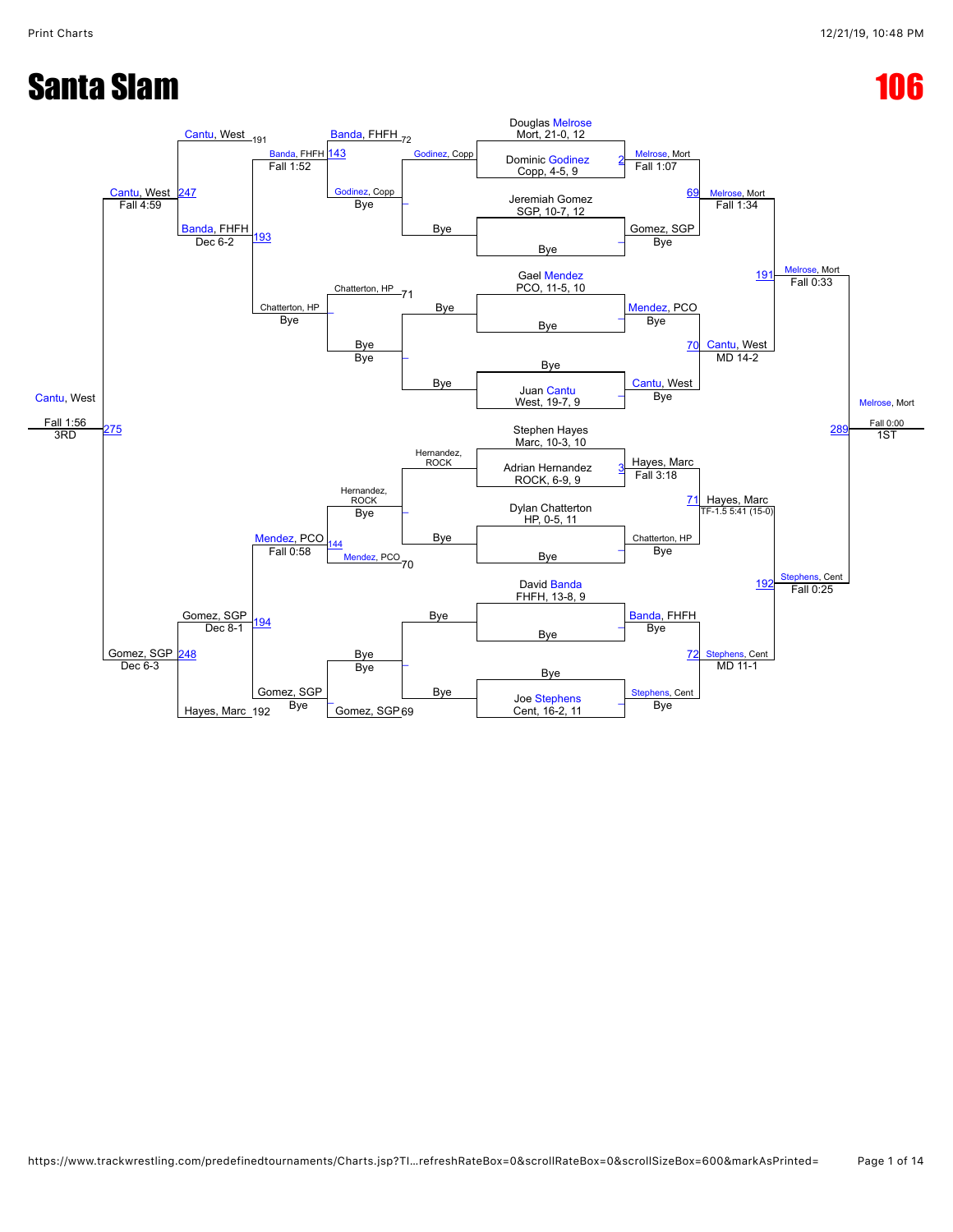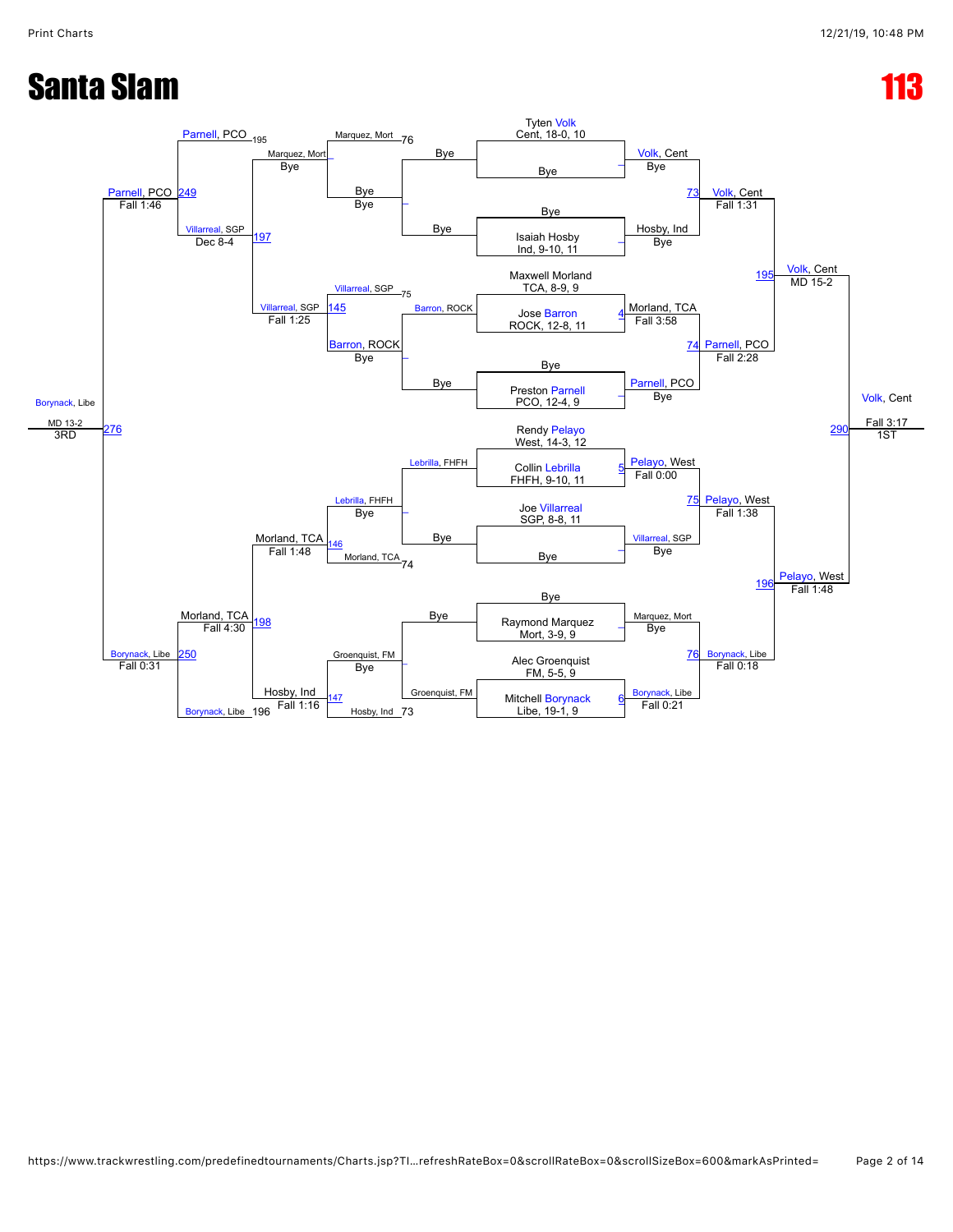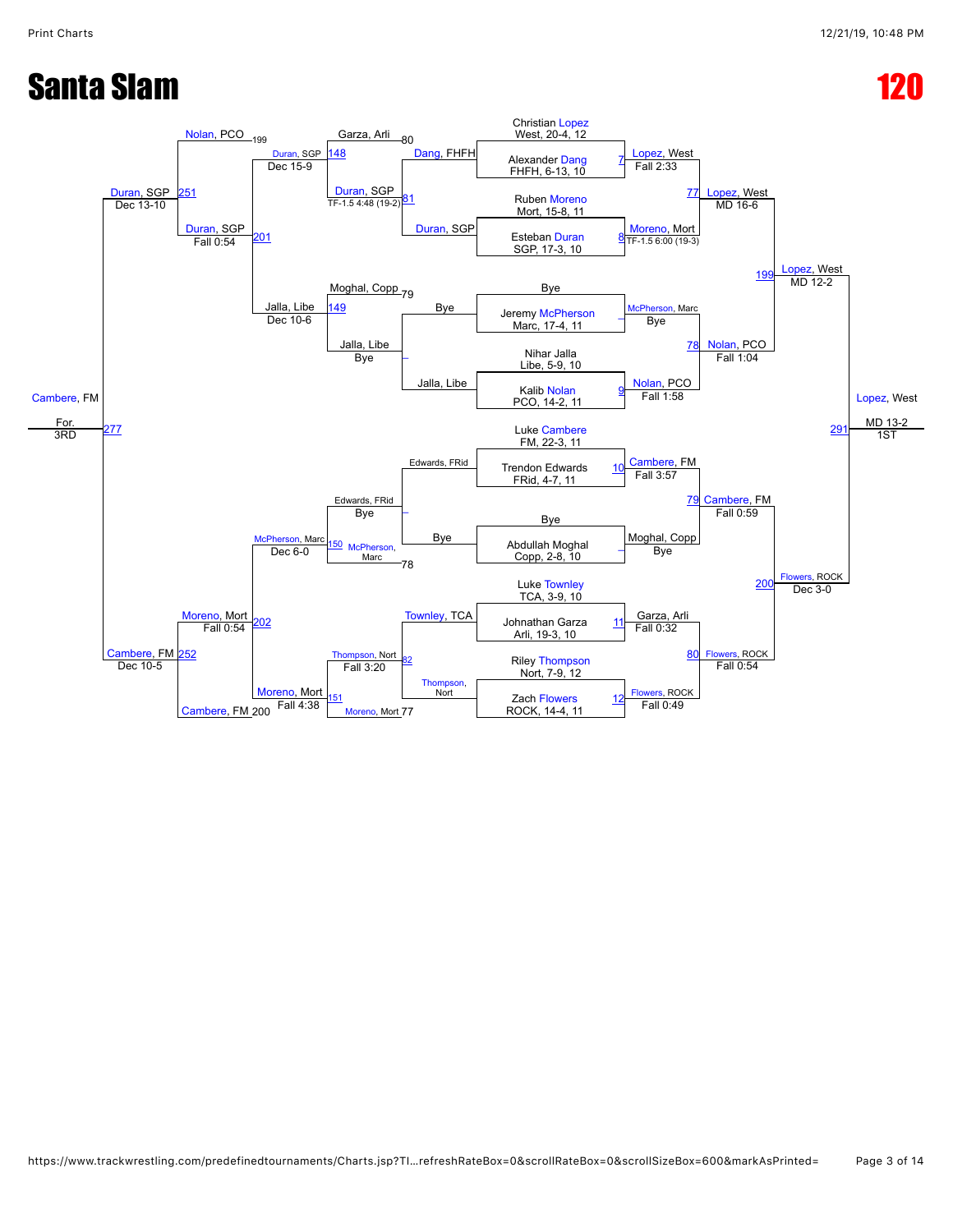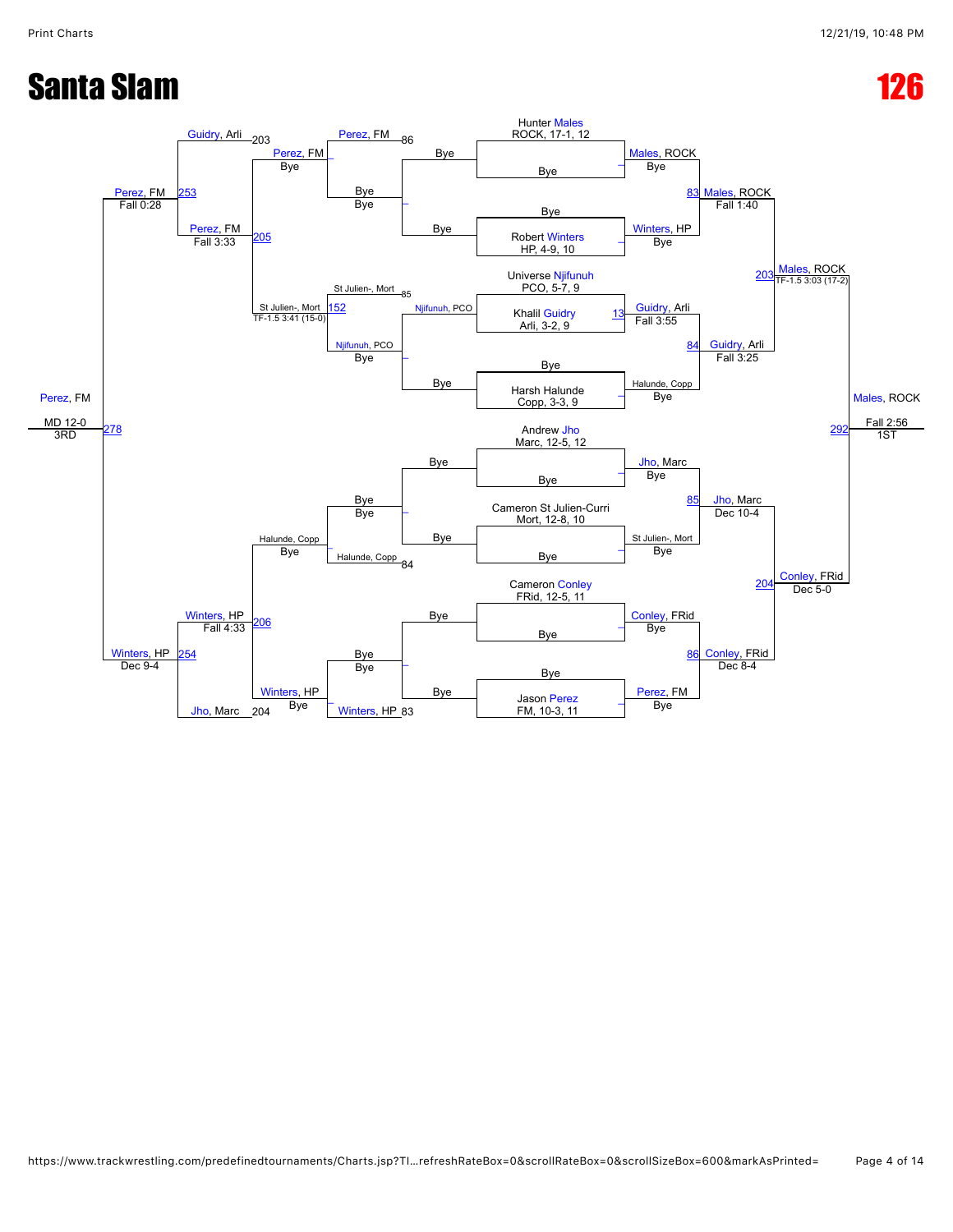

```
https://www.trackwrestling.com/predefinedtournaments/Charts.jsp?TI…refreshRateBox=0&scrollRateBox=0&scrollSizeBox=600&markAsPrinted= Page 4 of 14
```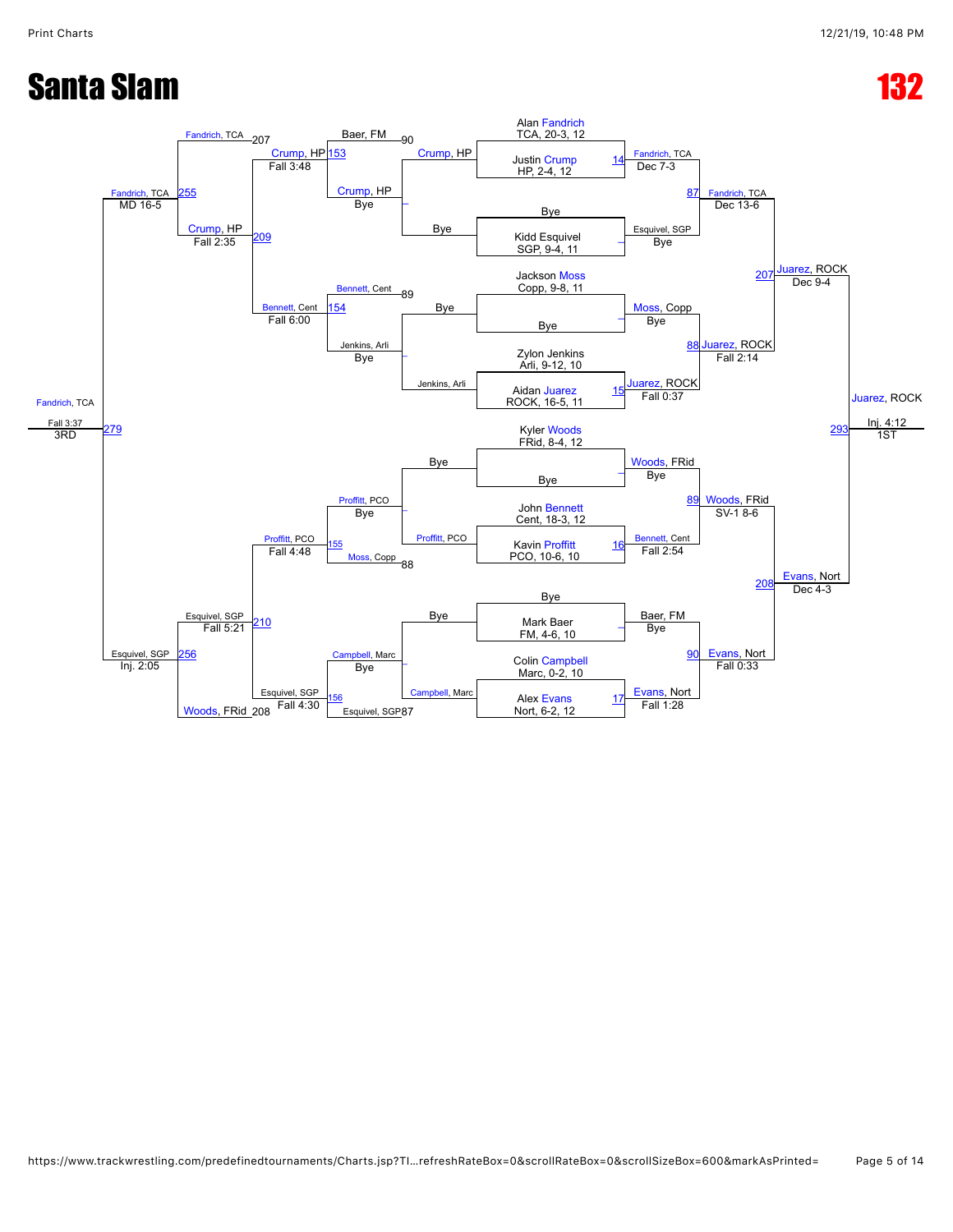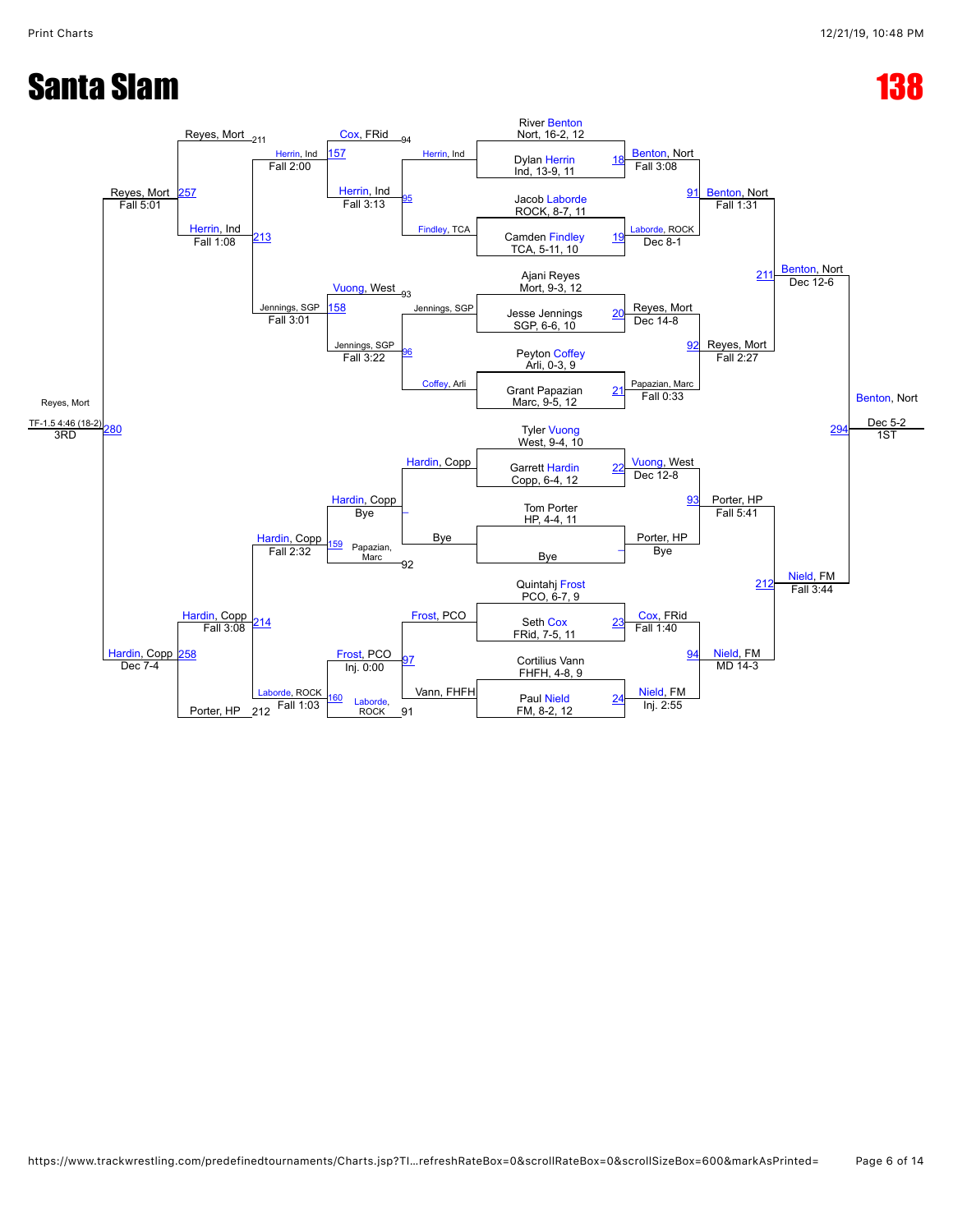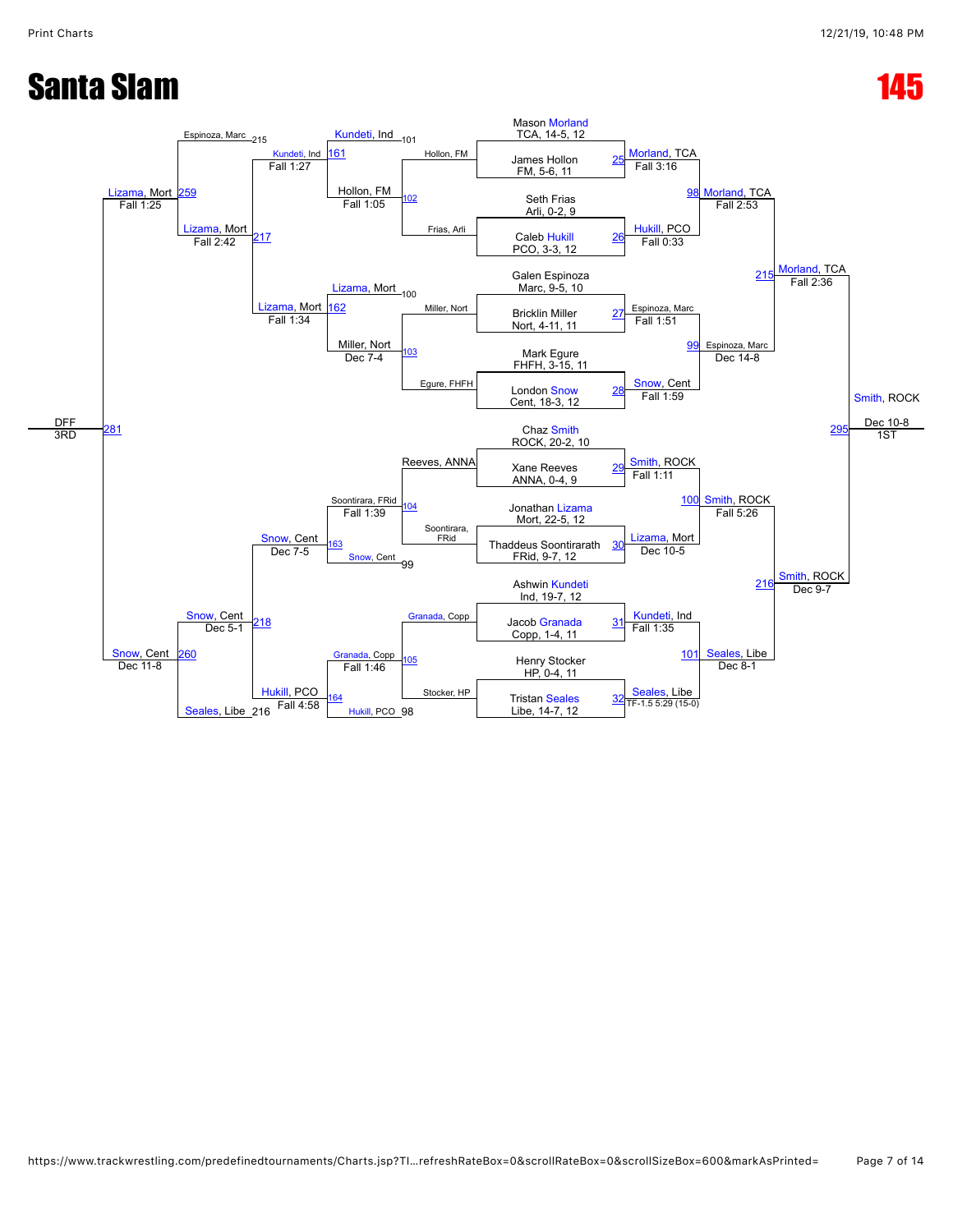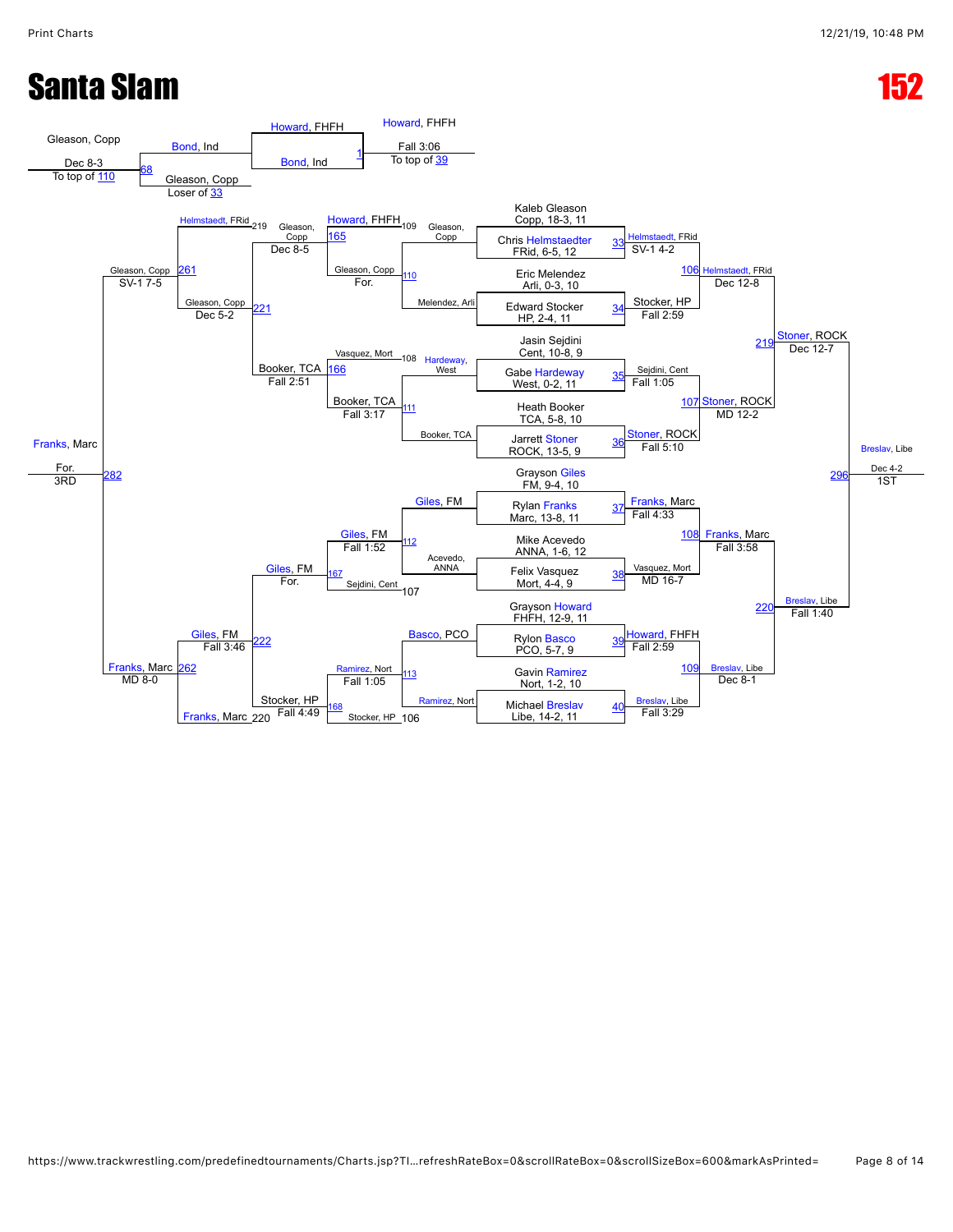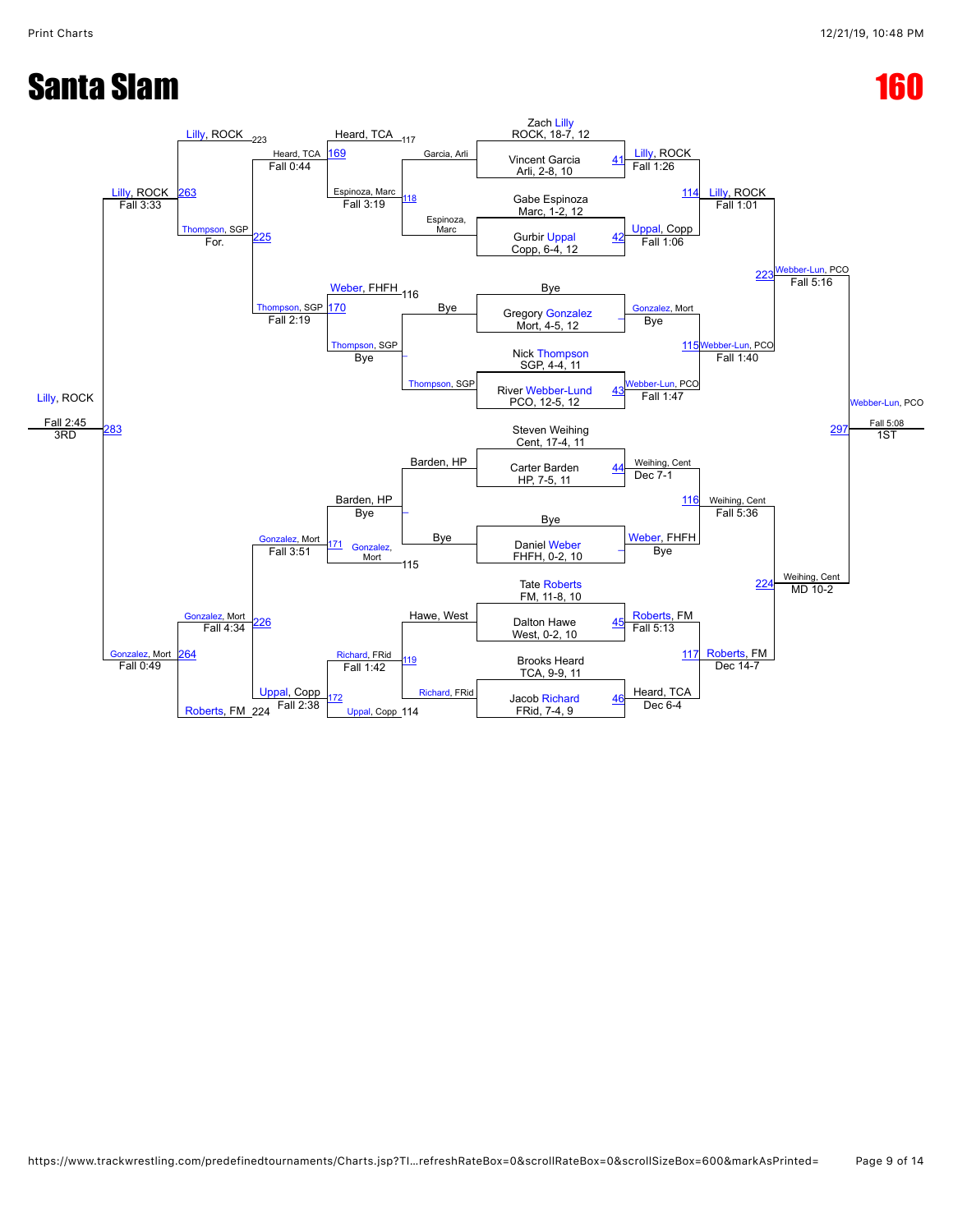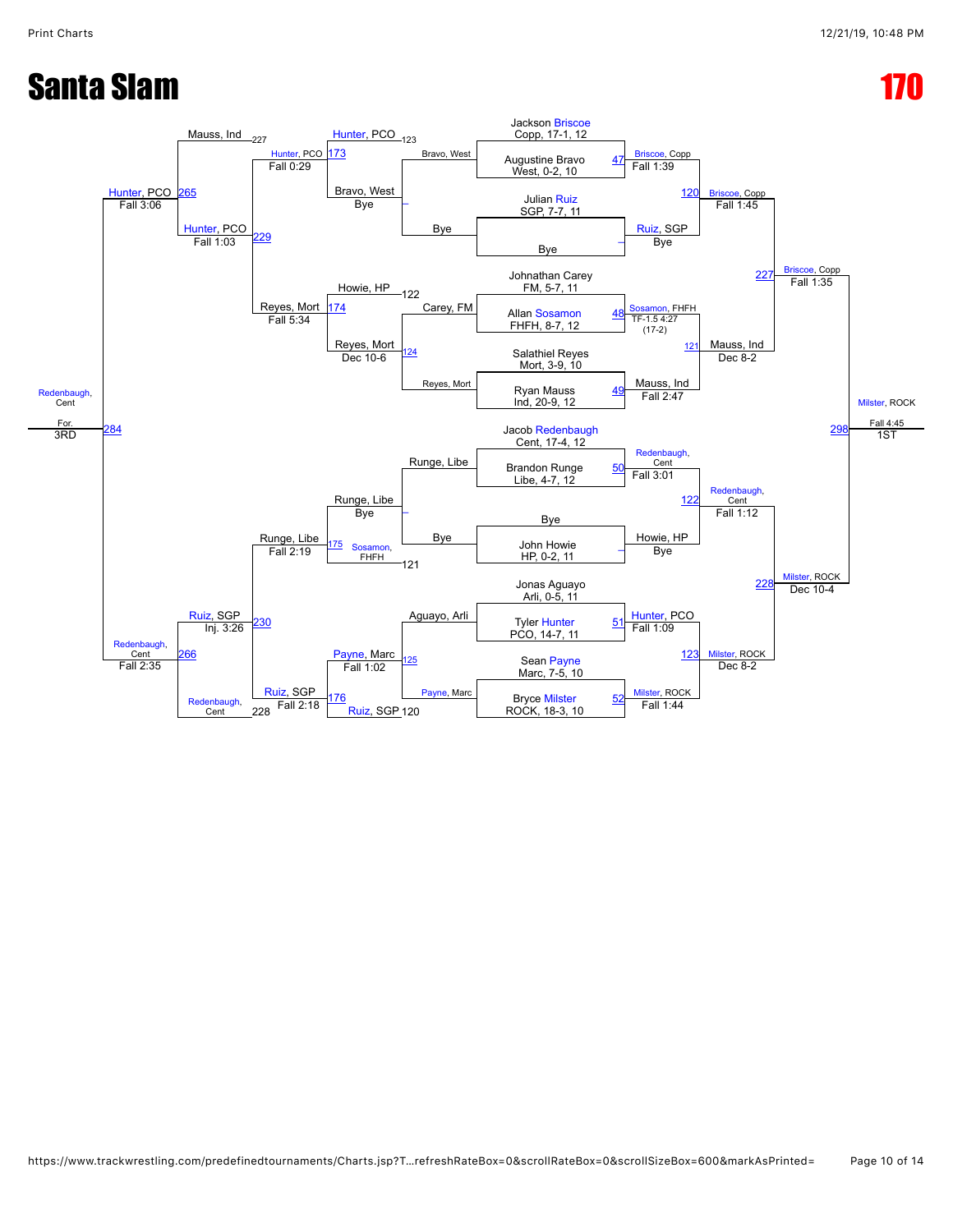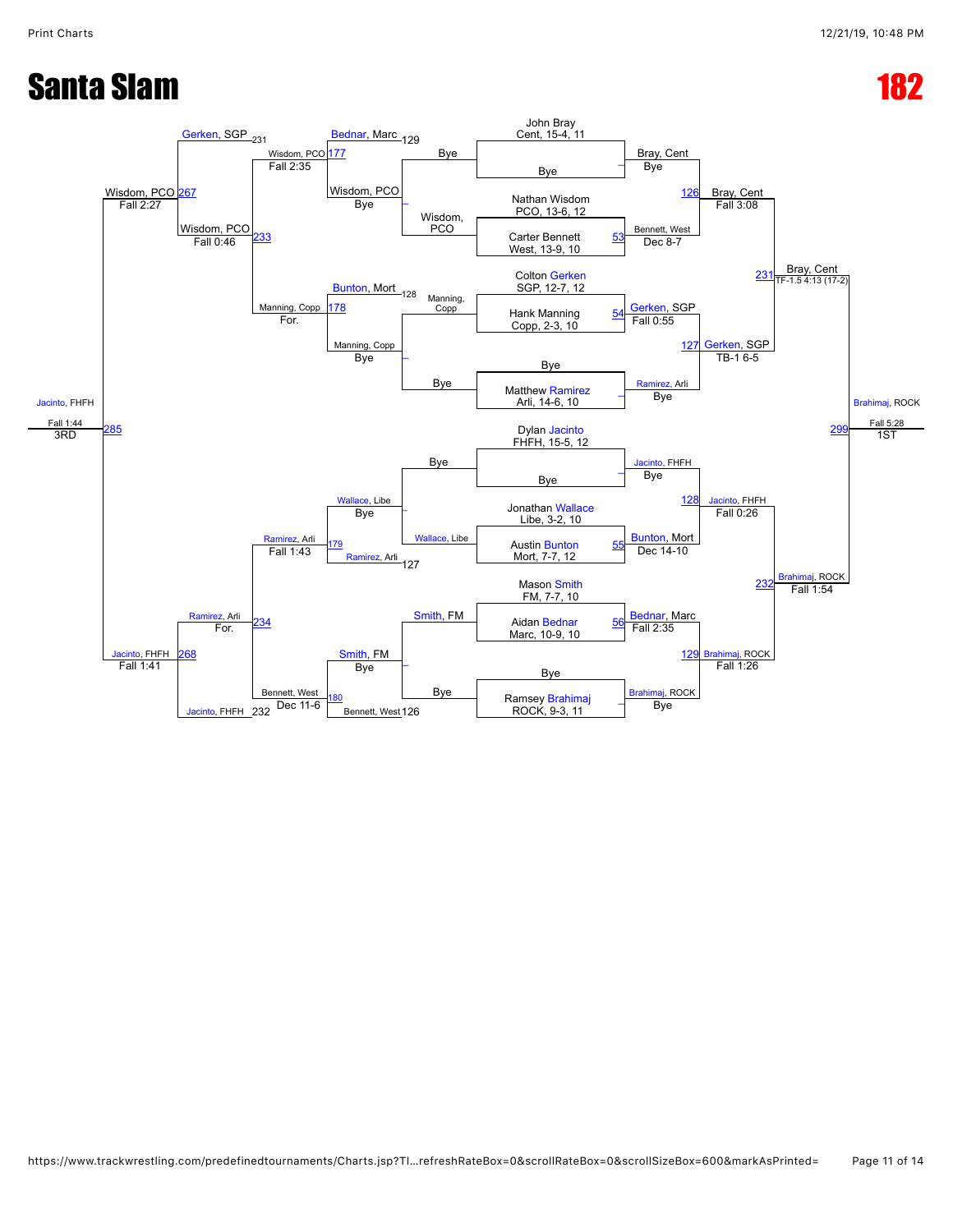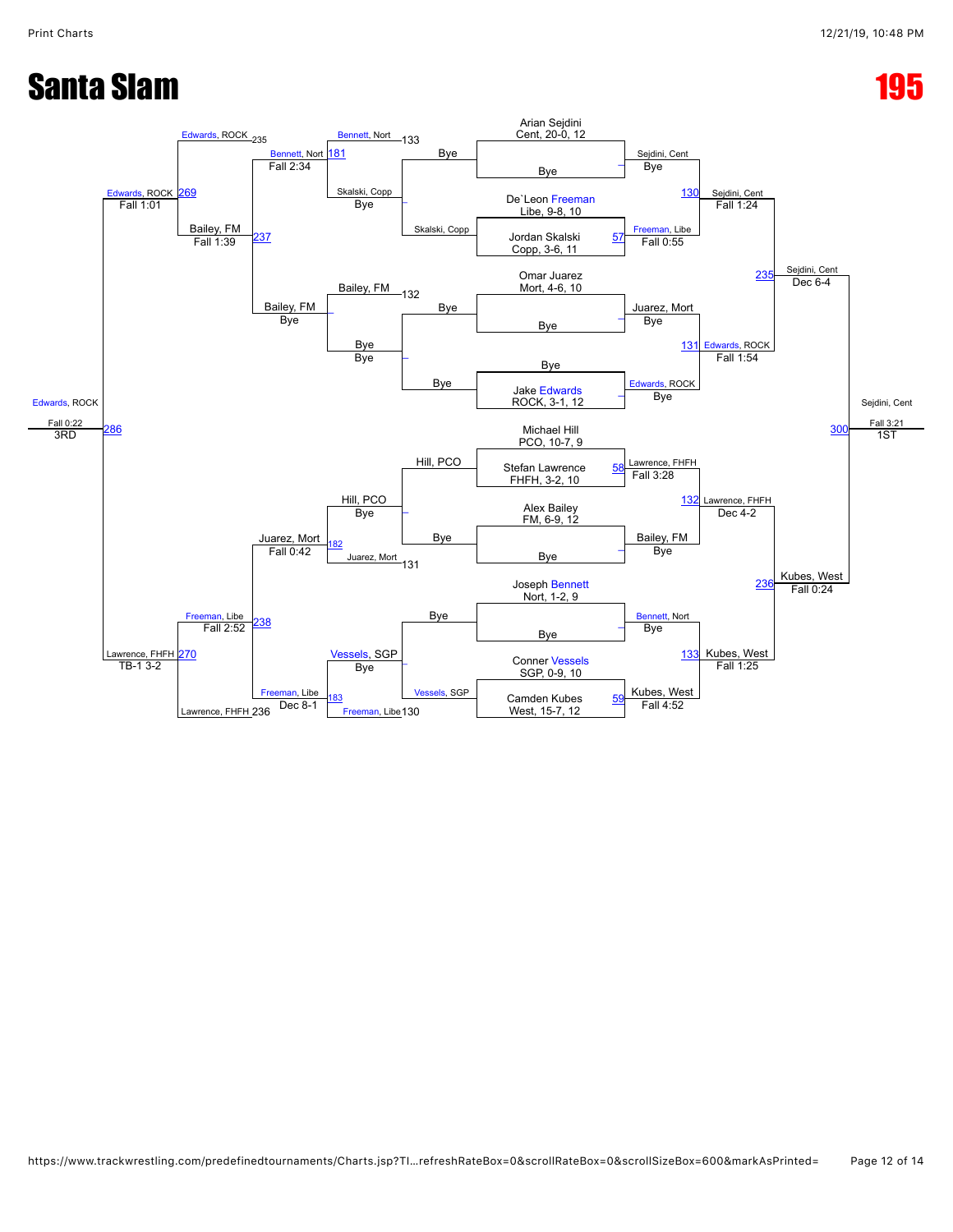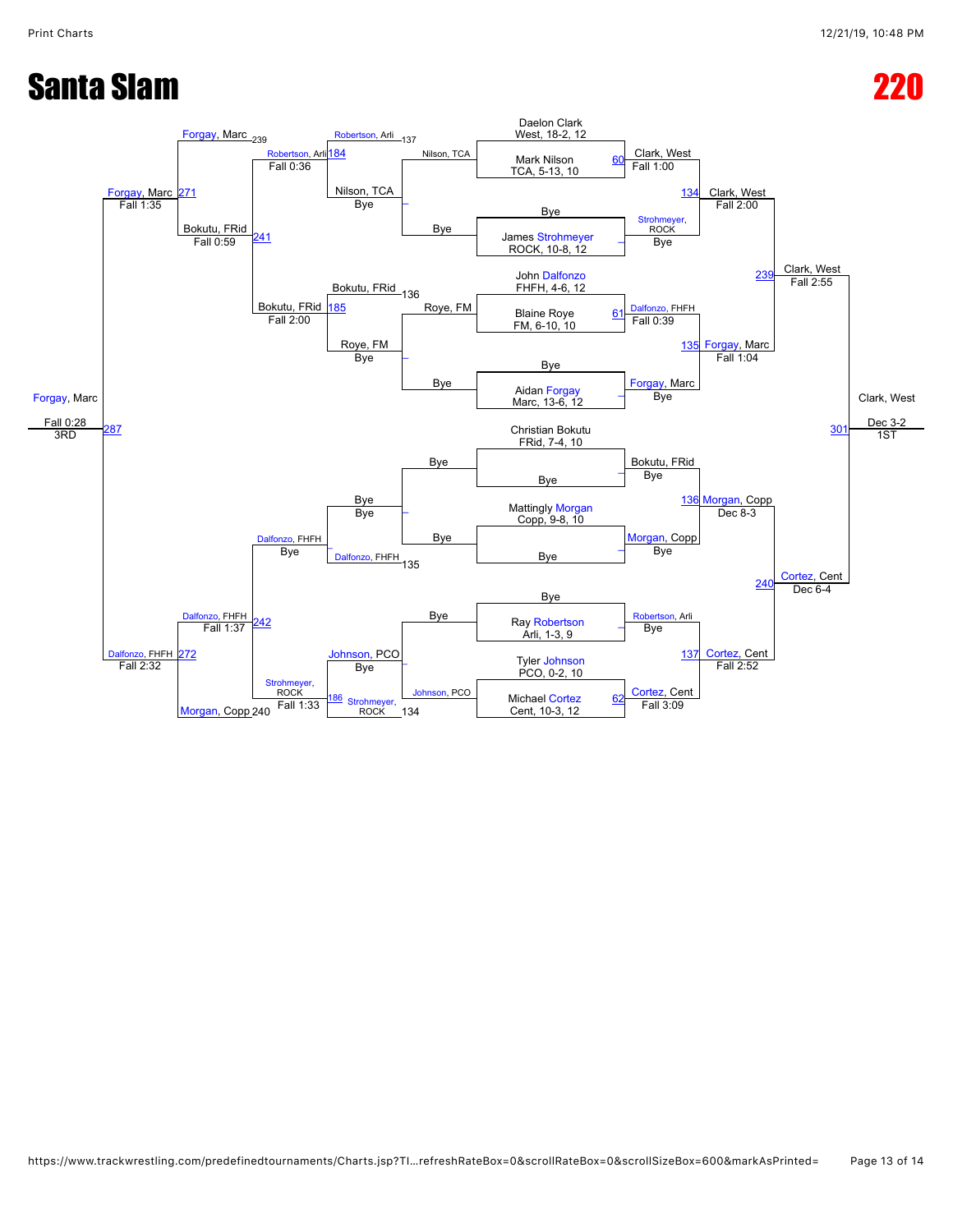